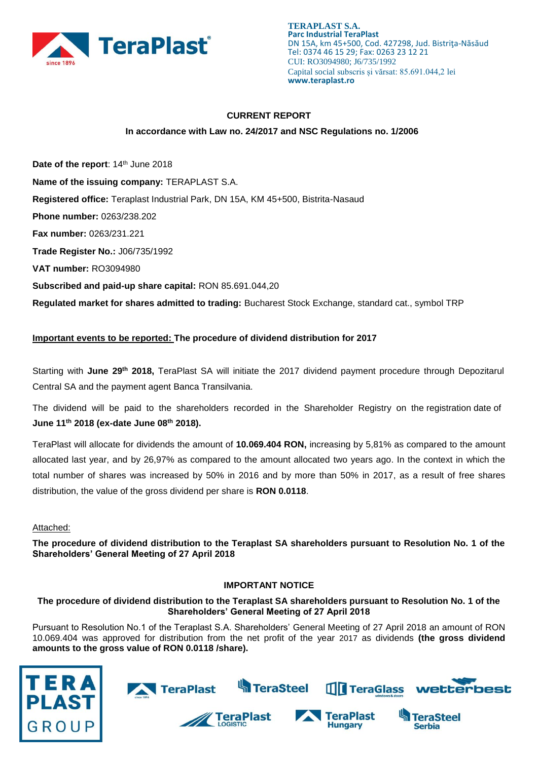

## **CURRENT REPORT**

#### **In accordance with Law no. 24/2017 and NSC Regulations no. 1/2006**

Date of the report: 14<sup>th</sup> June 2018 **Name of the issuing company:** TERAPLAST S.A. **Registered office:** Teraplast Industrial Park, DN 15A, KM 45+500, Bistrita-Nasaud **Phone number:** 0263/238.202 **Fax number:** 0263/231.221 **Trade Register No.:** J06/735/1992 **VAT number:** RO3094980 **Subscribed and paid-up share capital:** RON 85.691.044,20 **Regulated market for shares admitted to trading:** Bucharest Stock Exchange, standard cat., symbol TRP

# **Important events to be reported: The procedure of dividend distribution for 2017**

Starting with June 29<sup>th</sup> 2018, TeraPlast SA will initiate the 2017 dividend payment procedure through Depozitarul Central SA and the payment agent Banca Transilvania.

The dividend will be paid to the shareholders recorded in the Shareholder Registry on the registration date of **June 11 th 2018 (ex-date June 08th 2018).**

TeraPlast will allocate for dividends the amount of **10.069.404 RON,** increasing by 5,81% as compared to the amount allocated last year, and by 26,97% as compared to the amount allocated two years ago. In the context in which the total number of shares was increased by 50% in 2016 and by more than 50% in 2017, as a result of free shares distribution, the value of the gross dividend per share is **RON 0.0118**.

#### Attached:

**The procedure of dividend distribution to the Teraplast SA shareholders pursuant to Resolution No. 1 of the Shareholders' General Meeting of 27 April 2018**

#### **IMPORTANT NOTICE**

## **The procedure of dividend distribution to the Teraplast SA shareholders pursuant to Resolution No. 1 of the Shareholders' General Meeting of 27 April 2018**

Pursuant to Resolution No.1 of the Teraplast S.A. Shareholders' General Meeting of 27 April 2018 an amount of RON 10.069.404 was approved for distribution from the net profit of the year 2017 as dividends **(the gross dividend amounts to the gross value of RON 0.0118 /share).**



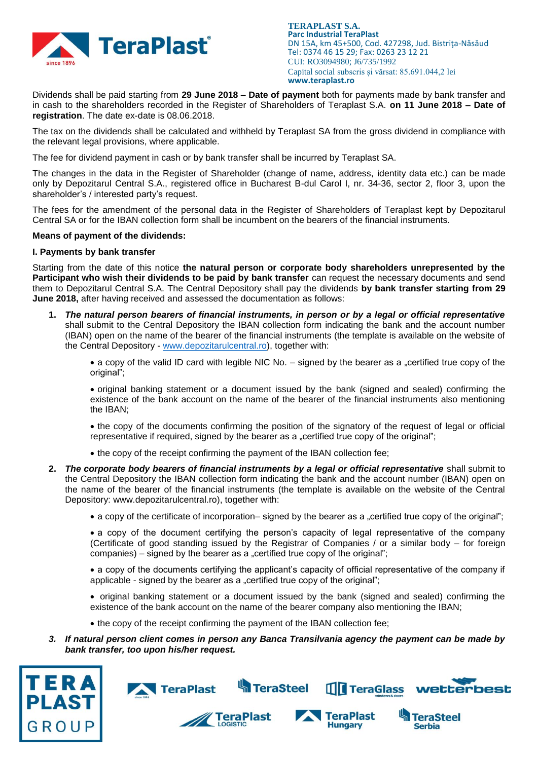

**TERAPLAST S.A. Parc Industrial TeraPlast** DN 15A, km 45+500, Cod. 427298, Jud. Bistriţa-Năsăud Tel: 0374 46 15 29; Fax: 0263 23 12 21 CUI: RO3094980; J6/735/1992 Capital social subscris și vărsat: 85.691.044,2 lei **www.teraplast.ro**

Dividends shall be paid starting from **29 June 2018 – Date of payment** both for payments made by bank transfer and in cash to the shareholders recorded in the Register of Shareholders of Teraplast S.A. **on 11 June 2018 – Date of registration**. The date ex-date is 08.06.2018.

The tax on the dividends shall be calculated and withheld by Teraplast SA from the gross dividend in compliance with the relevant legal provisions, where applicable.

The fee for dividend payment in cash or by bank transfer shall be incurred by Teraplast SA.

The changes in the data in the Register of Shareholder (change of name, address, identity data etc.) can be made only by Depozitarul Central S.A., registered office in Bucharest B-dul Carol I, nr. 34-36, sector 2, floor 3, upon the shareholder's / interested party's request.

The fees for the amendment of the personal data in the Register of Shareholders of Teraplast kept by Depozitarul Central SA or for the IBAN collection form shall be incumbent on the bearers of the financial instruments.

#### **Means of payment of the dividends:**

## **I. Payments by bank transfer**

Starting from the date of this notice **the natural person or corporate body shareholders unrepresented by the Participant who wish their dividends to be paid by bank transfer** can request the necessary documents and send them to Depozitarul Central S.A. The Central Depository shall pay the dividends **by bank transfer starting from 29 June 2018,** after having received and assessed the documentation as follows:

**1.** *The natural person bearers of financial instruments, in person or by a legal or official representative* shall submit to the Central Depository the IBAN collection form indicating the bank and the account number (IBAN) open on the name of the bearer of the financial instruments (the template is available on the website of the Central Depository - [www.depozitarulcentral.ro\)](http://www.depozitarulcentral.ro/), together with:

• a copy of the valid ID card with legible NIC No. – signed by the bearer as a "certified true copy of the original":

 original banking statement or a document issued by the bank (signed and sealed) confirming the existence of the bank account on the name of the bearer of the financial instruments also mentioning the IBAN;

 the copy of the documents confirming the position of the signatory of the request of legal or official representative if required, signed by the bearer as a "certified true copy of the original";

- the copy of the receipt confirming the payment of the IBAN collection fee;
- **2.** *The corporate body bearers of financial instruments by a legal or official representative* shall submit to the Central Depository the IBAN collection form indicating the bank and the account number (IBAN) open on the name of the bearer of the financial instruments (the template is available on the website of the Central Depository: www.depozitarulcentral.ro), together with:
	- a copy of the certificate of incorporation– signed by the bearer as a "certified true copy of the original";
	- a copy of the document certifying the person's capacity of legal representative of the company (Certificate of good standing issued by the Registrar of Companies / or a similar body – for foreign companies) – signed by the bearer as a "certified true copy of the original";

 a copy of the documents certifying the applicant's capacity of official representative of the company if applicable - signed by the bearer as a "certified true copy of the original";

• original banking statement or a document issued by the bank (signed and sealed) confirming the existence of the bank account on the name of the bearer company also mentioning the IBAN;

- the copy of the receipt confirming the payment of the IBAN collection fee;
- *3. If natural person client comes in person any Banca Transilvania agency the payment can be made by bank transfer, too upon his/her request.*



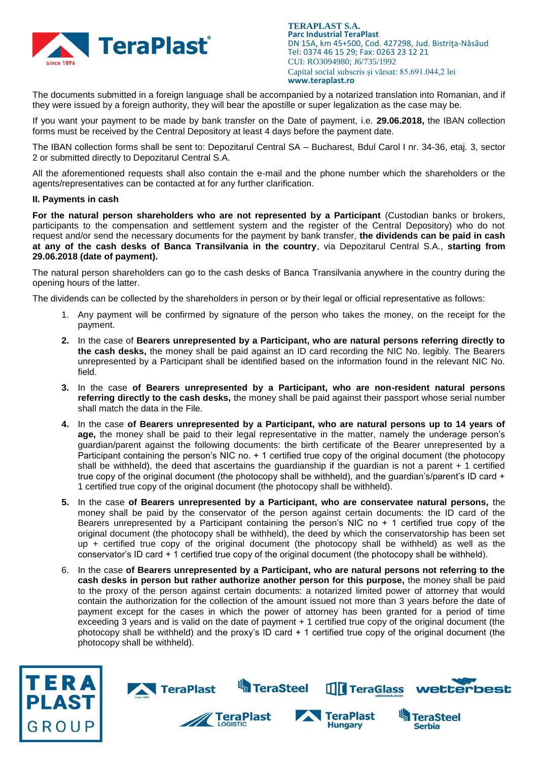

**TERAPLAST S.A. Parc Industrial TeraPlast** DN 15A, km 45+500, Cod. 427298, Jud. Bistrita-Năsăud Tel: 0374 46 15 29; Fax: 0263 23 12 21 CUI: RO3094980; J6/735/1992 Capital social subscris și vărsat: 85.691.044,2 lei **www.teraplast.ro**

The documents submitted in a foreign language shall be accompanied by a notarized translation into Romanian, and if they were issued by a foreign authority, they will bear the apostille or super legalization as the case may be.

If you want your payment to be made by bank transfer on the Date of payment, i.e. **29.06.2018,** the IBAN collection forms must be received by the Central Depository at least 4 days before the payment date.

The IBAN collection forms shall be sent to: Depozitarul Central SA – Bucharest, Bdul Carol I nr. 34-36, etaj. 3, sector 2 or submitted directly to Depozitarul Central S.A.

All the aforementioned requests shall also contain the e-mail and the phone number which the shareholders or the agents/representatives can be contacted at for any further clarification.

#### **II. Payments in cash**

**For the natural person shareholders who are not represented by a Participant** (Custodian banks or brokers, participants to the compensation and settlement system and the register of the Central Depository) who do not request and/or send the necessary documents for the payment by bank transfer, **the dividends can be paid in cash at any of the cash desks of Banca Transilvania in the country**, via Depozitarul Central S.A., **starting from 29.06.2018 (date of payment).**

The natural person shareholders can go to the cash desks of Banca Transilvania anywhere in the country during the opening hours of the latter.

The dividends can be collected by the shareholders in person or by their legal or official representative as follows:

- 1. Any payment will be confirmed by signature of the person who takes the money, on the receipt for the payment.
- **2.** In the case of **Bearers unrepresented by a Participant, who are natural persons referring directly to the cash desks,** the money shall be paid against an ID card recording the NIC No. legibly. The Bearers unrepresented by a Participant shall be identified based on the information found in the relevant NIC No. field.
- **3.** In the case **of Bearers unrepresented by a Participant, who are non-resident natural persons referring directly to the cash desks,** the money shall be paid against their passport whose serial number shall match the data in the File.
- **4.** In the case **of Bearers unrepresented by a Participant, who are natural persons up to 14 years of age,** the money shall be paid to their legal representative in the matter, namely the underage person's guardian/parent against the following documents: the birth certificate of the Bearer unrepresented by a Participant containing the person's NIC no. + 1 certified true copy of the original document (the photocopy shall be withheld), the deed that ascertains the guardianship if the guardian is not a parent + 1 certified true copy of the original document (the photocopy shall be withheld), and the guardian's/parent's ID card + 1 certified true copy of the original document (the photocopy shall be withheld).
- **5.** In the case **of Bearers unrepresented by a Participant, who are conservatee natural persons***,* the money shall be paid by the conservator of the person against certain documents: the ID card of the Bearers unrepresented by a Participant containing the person's NIC no + 1 certified true copy of the original document (the photocopy shall be withheld), the deed by which the conservatorship has been set up + certified true copy of the original document (the photocopy shall be withheld) as well as the conservator's ID card + 1 certified true copy of the original document (the photocopy shall be withheld).
- 6. In the case **of Bearers unrepresented by a Participant, who are natural persons not referring to the cash desks in person but rather authorize another person for this purpose,** the money shall be paid to the proxy of the person against certain documents: a notarized limited power of attorney that would contain the authorization for the collection of the amount issued not more than 3 years before the date of payment except for the cases in which the power of attorney has been granted for a period of time exceeding 3 years and is valid on the date of payment + 1 certified true copy of the original document (the photocopy shall be withheld) and the proxy's ID card + 1 certified true copy of the original document (the photocopy shall be withheld).



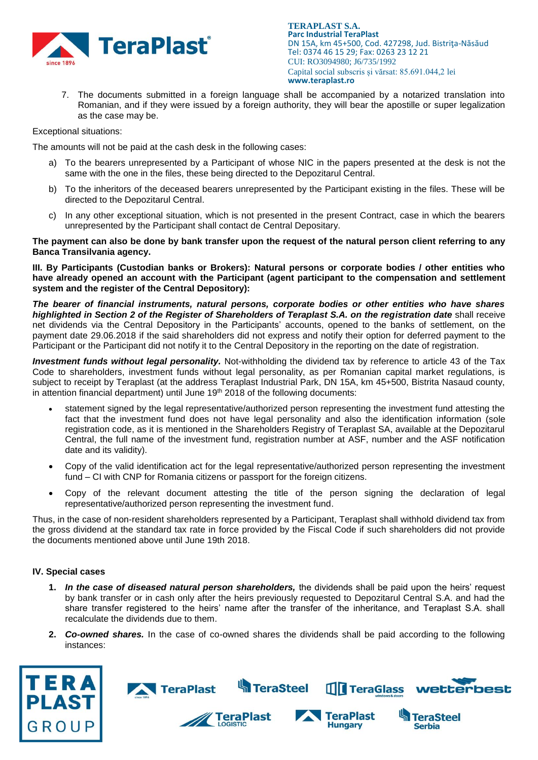

**TERAPLAST S.A. Parc Industrial TeraPlast** DN 15A, km 45+500, Cod. 427298, Jud. Bistriţa-Năsăud Tel: 0374 46 15 29; Fax: 0263 23 12 21 CUI: RO3094980; J6/735/1992 Capital social subscris și vărsat: 85.691.044,2 lei **www.teraplast.ro**

7. The documents submitted in a foreign language shall be accompanied by a notarized translation into Romanian, and if they were issued by a foreign authority, they will bear the apostille or super legalization as the case may be.

Exceptional situations:

The amounts will not be paid at the cash desk in the following cases:

- a) To the bearers unrepresented by a Participant of whose NIC in the papers presented at the desk is not the same with the one in the files, these being directed to the Depozitarul Central.
- b) To the inheritors of the deceased bearers unrepresented by the Participant existing in the files. These will be directed to the Depozitarul Central.
- c) In any other exceptional situation, which is not presented in the present Contract, case in which the bearers unrepresented by the Participant shall contact de Central Depositary.

**The payment can also be done by bank transfer upon the request of the natural person client referring to any Banca Transilvania agency.**

**III. By Participants (Custodian banks or Brokers): Natural persons or corporate bodies / other entities who have already opened an account with the Participant (agent participant to the compensation and settlement system and the register of the Central Depository):**

*The bearer of financial instruments, natural persons, corporate bodies or other entities who have shares highlighted in Section 2 of the Register of Shareholders of Teraplast S.A. on the registration date* shall receive net dividends via the Central Depository in the Participants' accounts, opened to the banks of settlement, on the payment date 29.06.2018 if the said shareholders did not express and notify their option for deferred payment to the Participant or the Participant did not notify it to the Central Depository in the reporting on the date of registration.

*Investment funds without legal personality.* Not-withholding the dividend tax by reference to article 43 of the Tax Code to shareholders, investment funds without legal personality, as per Romanian capital market regulations, is subject to receipt by Teraplast (at the address Teraplast Industrial Park, DN 15A, km 45+500, Bistrita Nasaud county, in attention financial department) until June  $19<sup>th</sup>$  2018 of the following documents:

- statement signed by the legal representative/authorized person representing the investment fund attesting the fact that the investment fund does not have legal personality and also the identification information (sole registration code, as it is mentioned in the Shareholders Registry of Teraplast SA, available at the Depozitarul Central, the full name of the investment fund, registration number at ASF, number and the ASF notification date and its validity).
- Copy of the valid identification act for the legal representative/authorized person representing the investment fund – CI with CNP for Romania citizens or passport for the foreign citizens.
- Copy of the relevant document attesting the title of the person signing the declaration of legal representative/authorized person representing the investment fund.

Thus, in the case of non-resident shareholders represented by a Participant, Teraplast shall withhold dividend tax from the gross dividend at the standard tax rate in force provided by the Fiscal Code if such shareholders did not provide the documents mentioned above until June 19th 2018.

# **IV. Special cases**

- **1.** *In the case of diseased natural person shareholders,* the dividends shall be paid upon the heirs' request by bank transfer or in cash only after the heirs previously requested to Depozitarul Central S.A. and had the share transfer registered to the heirs' name after the transfer of the inheritance, and Teraplast S.A. shall recalculate the dividends due to them.
- **2.** *Co-owned shares.* In the case of co-owned shares the dividends shall be paid according to the following instances:





TeraPlast





Serhia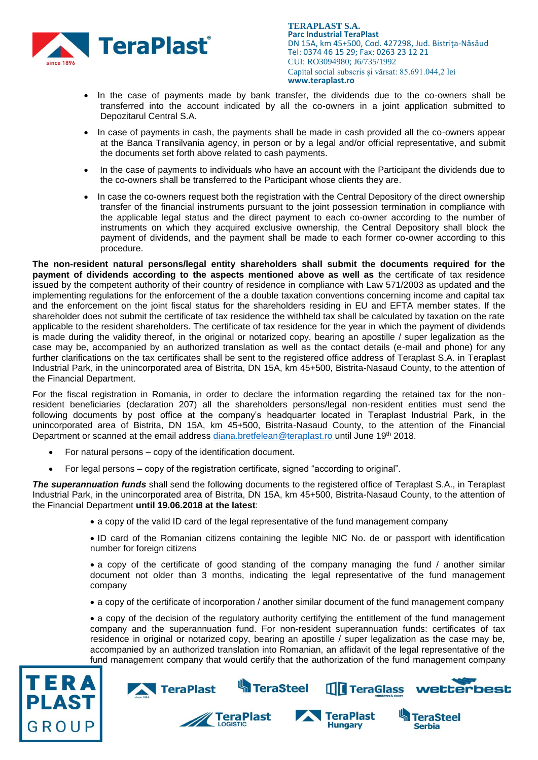

**TERAPLAST S.A. Parc Industrial TeraPlast** DN 15A, km 45+500, Cod. 427298, Jud. Bistrita-Năsăud Tel: 0374 46 15 29; Fax: 0263 23 12 21 CUI: RO3094980; J6/735/1992 Capital social subscris și vărsat: 85.691.044,2 lei **www.teraplast.ro**

- In the case of payments made by bank transfer, the dividends due to the co-owners shall be transferred into the account indicated by all the co-owners in a joint application submitted to Depozitarul Central S.A.
- In case of payments in cash, the payments shall be made in cash provided all the co-owners appear at the Banca Transilvania agency, in person or by a legal and/or official representative, and submit the documents set forth above related to cash payments.
- In the case of payments to individuals who have an account with the Participant the dividends due to the co-owners shall be transferred to the Participant whose clients they are.
- In case the co-owners request both the registration with the Central Depository of the direct ownership transfer of the financial instruments pursuant to the joint possession termination in compliance with the applicable legal status and the direct payment to each co-owner according to the number of instruments on which they acquired exclusive ownership, the Central Depository shall block the payment of dividends, and the payment shall be made to each former co-owner according to this procedure.

**The non-resident natural persons/legal entity shareholders shall submit the documents required for the payment of dividends according to the aspects mentioned above as well as** the certificate of tax residence issued by the competent authority of their country of residence in compliance with Law 571/2003 as updated and the implementing regulations for the enforcement of the a double taxation conventions concerning income and capital tax and the enforcement on the joint fiscal status for the shareholders residing in EU and EFTA member states. If the shareholder does not submit the certificate of tax residence the withheld tax shall be calculated by taxation on the rate applicable to the resident shareholders. The certificate of tax residence for the year in which the payment of dividends is made during the validity thereof, in the original or notarized copy, bearing an apostille / super legalization as the case may be, accompanied by an authorized translation as well as the contact details (e-mail and phone) for any further clarifications on the tax certificates shall be sent to the registered office address of Teraplast S.A. in Teraplast Industrial Park, in the unincorporated area of Bistrita, DN 15A, km 45+500, Bistrita-Nasaud County, to the attention of the Financial Department.

For the fiscal registration in Romania, in order to declare the information regarding the retained tax for the nonresident beneficiaries (declaration 207) all the shareholders persons/legal non-resident entities must send the following documents by post office at the company's headquarter located in Teraplast Industrial Park, in the unincorporated area of Bistrita, DN 15A, km 45+500, Bistrita-Nasaud County, to the attention of the Financial Department or scanned at the email address [diana.bretfelean@teraplast.ro](mailto:diana.bretfelean@teraplast.ro) until June 19<sup>th</sup> 2018.

- For natural persons copy of the identification document.
- For legal persons copy of the registration certificate, signed "according to original".

*The superannuation funds* shall send the following documents to the registered office of Teraplast S.A., in Teraplast Industrial Park, in the unincorporated area of Bistrita, DN 15A, km 45+500, Bistrita-Nasaud County, to the attention of the Financial Department **until 19.06.2018 at the latest**:

- a copy of the valid ID card of the legal representative of the fund management company
- ID card of the Romanian citizens containing the legible NIC No. de or passport with identification number for foreign citizens

• a copy of the certificate of good standing of the company managing the fund / another similar document not older than 3 months, indicating the legal representative of the fund management company

a copy of the certificate of incorporation / another similar document of the fund management company

 a copy of the decision of the regulatory authority certifying the entitlement of the fund management company and the superannuation fund. For non-resident superannuation funds: certificates of tax residence in original or notarized copy, bearing an apostille / super legalization as the case may be, accompanied by an authorized translation into Romanian, an affidavit of the legal representative of the fund management company that would certify that the authorization of the fund management company